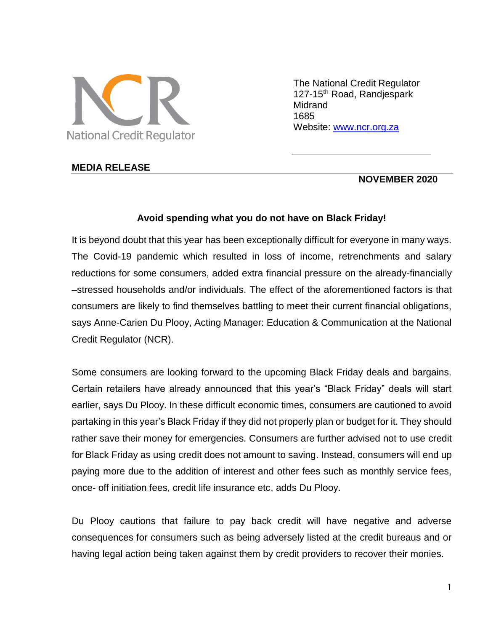

The National Credit Regulator 127-15<sup>th</sup> Road, Randjespark Midrand 1685 Website: [www.ncr.org.za](http://www.ncr.org.za/)

### **MEDIA RELEASE**

### **NOVEMBER 2020**

#### **Avoid spending what you do not have on Black Friday!**

It is beyond doubt that this year has been exceptionally difficult for everyone in many ways. The Covid-19 pandemic which resulted in loss of income, retrenchments and salary reductions for some consumers, added extra financial pressure on the already-financially –stressed households and/or individuals. The effect of the aforementioned factors is that consumers are likely to find themselves battling to meet their current financial obligations, says Anne-Carien Du Plooy, Acting Manager: Education & Communication at the National Credit Regulator (NCR).

Some consumers are looking forward to the upcoming Black Friday deals and bargains. Certain retailers have already announced that this year's "Black Friday" deals will start earlier, says Du Plooy. In these difficult economic times, consumers are cautioned to avoid partaking in this year's Black Friday if they did not properly plan or budget for it. They should rather save their money for emergencies. Consumers are further advised not to use credit for Black Friday as using credit does not amount to saving. Instead, consumers will end up paying more due to the addition of interest and other fees such as monthly service fees, once- off initiation fees, credit life insurance etc, adds Du Plooy.

Du Plooy cautions that failure to pay back credit will have negative and adverse consequences for consumers such as being adversely listed at the credit bureaus and or having legal action being taken against them by credit providers to recover their monies.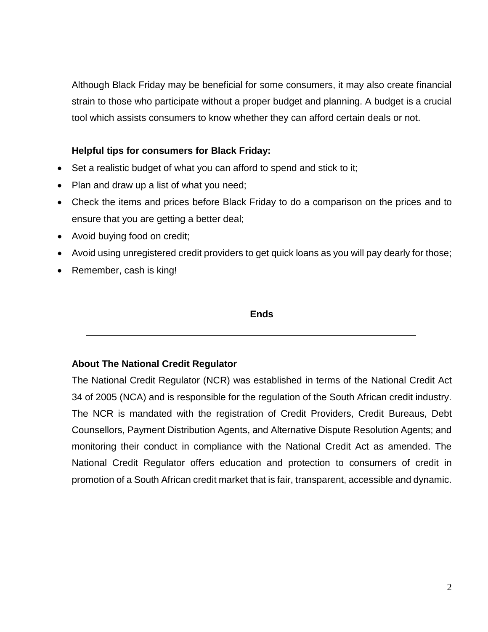Although Black Friday may be beneficial for some consumers, it may also create financial strain to those who participate without a proper budget and planning. A budget is a crucial tool which assists consumers to know whether they can afford certain deals or not.

# **Helpful tips for consumers for Black Friday:**

- Set a realistic budget of what you can afford to spend and stick to it:
- Plan and draw up a list of what you need;
- Check the items and prices before Black Friday to do a comparison on the prices and to ensure that you are getting a better deal;
- Avoid buying food on credit;
- Avoid using unregistered credit providers to get quick loans as you will pay dearly for those;
- Remember, cash is king!

### **Ends**

## **About The National Credit Regulator**

The National Credit Regulator (NCR) was established in terms of the National Credit Act 34 of 2005 (NCA) and is responsible for the regulation of the South African credit industry. The NCR is mandated with the registration of Credit Providers, Credit Bureaus, Debt Counsellors, Payment Distribution Agents, and Alternative Dispute Resolution Agents; and monitoring their conduct in compliance with the National Credit Act as amended. The National Credit Regulator offers education and protection to consumers of credit in promotion of a South African credit market that is fair, transparent, accessible and dynamic.